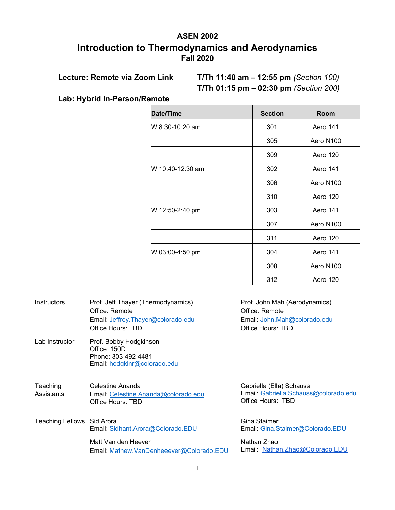# **ASEN 2002 Introduction to Thermodynamics and Aerodynamics Fall 2020**

**Lecture: Remote via Zoom Link T/Th 11:40 am – 12:55 pm** *(Section 100)* **T/Th 01:15 pm – 02:30 pm** *(Section 200)*

**Lab: Hybrid In-Person/Remote**

| <b>Date/Time</b> | <b>Section</b> | <b>Room</b>           |
|------------------|----------------|-----------------------|
| W 8:30-10:20 am  | 301            | <b>Aero 141</b>       |
|                  | 305            | Aero N100             |
|                  | 309            | Aero 120              |
| W 10:40-12:30 am | 302            | Aero 141              |
|                  | 306            | Aero N100             |
|                  | 310            | Aero 120              |
| W 12:50-2:40 pm  | 303            | <b>Aero 141</b>       |
|                  | 307            | Aero N <sub>100</sub> |
|                  | 311            | Aero 120              |
| W 03:00-4:50 pm  | 304            | Aero 141              |
|                  | 308            | Aero N100             |
|                  | 312            | Aero 120              |

| Instructors                | Prof. Jeff Thayer (Thermodynamics)<br>Office: Remote<br>Email: Jeffrey. Thayer@colorado.edu<br>Office Hours: TBD | Prof. John Mah (Aerodynamics)<br>Office: Remote<br>Email: John.Mah@colorado.edu<br>Office Hours: TBD |
|----------------------------|------------------------------------------------------------------------------------------------------------------|------------------------------------------------------------------------------------------------------|
| Lab Instructor             | Prof. Bobby Hodgkinson<br>Office: 150D<br>Phone: 303-492-4481<br>Email: hodgkinr@colorado.edu                    |                                                                                                      |
| Teaching<br>Assistants     | Celestine Ananda<br>Email: Celestine.Ananda@colorado.edu<br>Office Hours: TBD                                    | Gabriella (Ella) Schauss<br>Email: Gabriella.Schauss@colorado.edu<br>Office Hours: TBD               |
| Teaching Fellows Sid Arora | Email: Sidhant.Arora@Colorado.EDU                                                                                | Gina Staimer<br>Email: Gina.Staimer@Colorado.EDU                                                     |
|                            | Matt Van den Heever<br>Email: Mathew.VanDenheeever@Colorado.EDU                                                  | Nathan Zhao<br>Email: Nathan.Zhao@Colorado.EDU                                                       |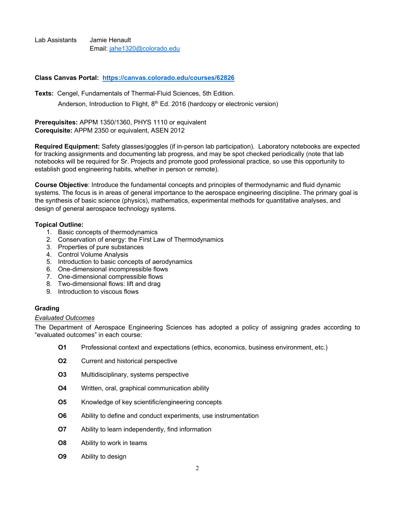Lab Assistants Jamie Henault Email: jahe1320@colorado.edu

**Class Canvas Portal: https://canvas.colorado.edu/courses/62826**

**Texts:** Cengel, Fundamentals of Thermal-Fluid Sciences, 5th Edition.

Anderson, Introduction to Flight, 8<sup>th</sup> Ed. 2016 (hardcopy or electronic version)

**Prerequisites:** APPM 1350/1360, PHYS 1110 or equivalent **Corequisite:** APPM 2350 or equivalent, ASEN 2012

**Required Equipment:** Safety glasses/goggles (if in-person lab participation). Laboratory notebooks are expected for tracking assignments and documenting lab progress, and may be spot checked periodically (note that lab notebooks will be required for Sr. Projects and promote good professional practice, so use this opportunity to establish good engineering habits, whether in person or remote).

**Course Objective**: Introduce the fundamental concepts and principles of thermodynamic and fluid dynamic systems. The focus is in areas of general importance to the aerospace engineering discipline. The primary goal is the synthesis of basic science (physics), mathematics, experimental methods for quantitative analyses, and design of general aerospace technology systems.

# **Topical Outline:**

- 1. Basic concepts of thermodynamics
- 2. Conservation of energy: the First Law of Thermodynamics
- 3. Properties of pure substances
- 4. Control Volume Analysis
- 5. Introduction to basic concepts of aerodynamics
- 6. One-dimensional incompressible flows
- 7. One-dimensional compressible flows
- 8. Two-dimensional flows: lift and drag
- 9. Introduction to viscous flows

# **Grading**

# *Evaluated Outcomes*

The Department of Aerospace Engineering Sciences has adopted a policy of assigning grades according to "evaluated outcomes" in each course:

- **O1** Professional context and expectations (ethics, economics, business environment, etc.)
- **O2** Current and historical perspective
- **O3** Multidisciplinary, systems perspective
- **O4** Written, oral, graphical communication ability
- **O5** Knowledge of key scientific/engineering concepts
- **O6** Ability to define and conduct experiments, use instrumentation
- **O7** Ability to learn independently, find information
- **O8** Ability to work in teams
- **O9** Ability to design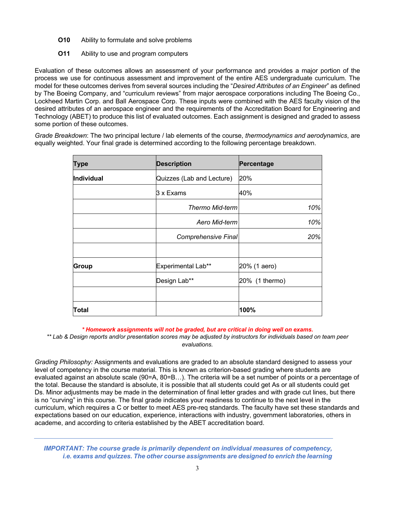- **O10** Ability to formulate and solve problems
- **O11** Ability to use and program computers

Evaluation of these outcomes allows an assessment of your performance and provides a major portion of the process we use for continuous assessment and improvement of the entire AES undergraduate curriculum. The model for these outcomes derives from several sources including the "*Desired Attributes of an Engineer*" as defined by The Boeing Company, and "curriculum reviews" from major aerospace corporations including The Boeing Co., Lockheed Martin Corp. and Ball Aerospace Corp. These inputs were combined with the AES faculty vision of the desired attributes of an aerospace engineer and the requirements of the Accreditation Board for Engineering and Technology (ABET) to produce this list of evaluated outcomes. Each assignment is designed and graded to assess some portion of these outcomes.

*Grade Breakdown*: The two principal lecture / lab elements of the course, *thermodynamics and aerodynamics*, are equally weighted. Your final grade is determined according to the following percentage breakdown.

| Type       | <b>Description</b>         | Percentage     |
|------------|----------------------------|----------------|
| Individual | Quizzes (Lab and Lecture)  | 20%            |
|            | 3 x Exams                  | 40%            |
|            | <b>Thermo Mid-term</b>     | 10%            |
|            | Aero Mid-term              | 10%            |
|            | <b>Comprehensive Final</b> | 20%            |
|            |                            |                |
| Group      | Experimental Lab**         | 20% (1 aero)   |
|            | Design Lab**               | 20% (1 thermo) |
|            |                            |                |
| Total      |                            | 100%           |

*\* Homework assignments will not be graded, but are critical in doing well on exams.*

*\*\* Lab & Design reports and/or presentation scores may be adjusted by instructors for individuals based on team peer evaluations.*

*Grading Philosophy:* Assignments and evaluations are graded to an absolute standard designed to assess your level of competency in the course material. This is known as criterion-based grading where students are evaluated against an absolute scale (90=A, 80=B…). The criteria will be a set number of points or a percentage of the total. Because the standard is absolute, it is possible that all students could get As or all students could get Ds. Minor adjustments may be made in the determination of final letter grades and with grade cut lines, but there is no "curving" in this course. The final grade indicates your readiness to continue to the next level in the curriculum, which requires a C or better to meet AES pre-req standards. The faculty have set these standards and expectations based on our education, experience, interactions with industry, government laboratories, others in academe, and according to criteria established by the ABET accreditation board.

*IMPORTANT: The course grade is primarily dependent on individual measures of competency, i.e. exams and quizzes. The other course assignments are designed to enrich the learning*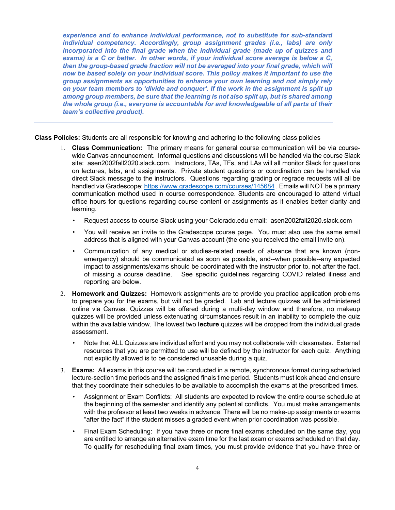*experience and to enhance individual performance, not to substitute for sub-standard individual competency. Accordingly, group assignment grades (i.e., labs) are only incorporated into the final grade when the individual grade (made up of quizzes and exams) is a C or better. In other words, if your individual score average is below a C,*  then the group-based grade fraction will not be averaged into your final grade, which will *now be based solely on your individual score. This policy makes it important to use the group assignments as opportunities to enhance your own learning and not simply rely on your team members to 'divide and conquer'. If the work in the assignment is split up among group members, be sure that the learning is not also split up, but is shared among the whole group (i.e., everyone is accountable for and knowledgeable of all parts of their team's collective product).* 

**Class Policies:** Students are all responsible for knowing and adhering to the following class policies

- 1. **Class Communication:** The primary means for general course communication will be via coursewide Canvas announcement. Informal questions and discussions will be handled via the course Slack site: asen2002fall2020.slack.com. Instructors, TAs, TFs, and LAs will all monitor Slack for questions on lectures, labs, and assignments. Private student questions or coordination can be handled via direct Slack message to the instructors. Questions regarding grading or regrade requests will all be handled via Gradescope: https://www.gradescope.com/courses/145684 . Emails will NOT be a primary communication method used in course correspondence. Students are encouraged to attend virtual office hours for questions regarding course content or assignments as it enables better clarity and learning.
	- Request access to course Slack using your Colorado.edu email: asen2002fall2020.slack.com
	- You will receive an invite to the Gradescope course page. You must also use the same email address that is aligned with your Canvas account (the one you received the email invite on).
	- Communication of any medical or studies-related needs of absence that are known (nonemergency) should be communicated as soon as possible, and--when possible--any expected impact to assignments/exams should be coordinated with the instructor prior to, not after the fact, of missing a course deadline. See specific guidelines regarding COVID related illness and reporting are below.
- 2. **Homework and Quizzes:** Homework assignments are to provide you practice application problems to prepare you for the exams, but will not be graded. Lab and lecture quizzes will be administered online via Canvas. Quizzes will be offered during a multi-day window and therefore, no makeup quizzes will be provided unless extenuating circumstances result in an inability to complete the quiz within the available window. The lowest two **lecture** quizzes will be dropped from the individual grade assessment.
	- Note that ALL Quizzes are individual effort and you may not collaborate with classmates. External resources that you are permitted to use will be defined by the instructor for each quiz. Anything not explicitly allowed is to be considered unusable during a quiz.
- 3. **Exams:** All exams in this course will be conducted in a remote, synchronous format during scheduled lecture-section time periods and the assigned finals time period. Students must look ahead and ensure that they coordinate their schedules to be available to accomplish the exams at the prescribed times.
	- Assignment or Exam Conflicts: All students are expected to review the entire course schedule at the beginning of the semester and identify any potential conflicts. You must make arrangements with the professor at least two weeks in advance. There will be no make-up assignments or exams "after the fact" if the student misses a graded event when prior coordination was possible.
	- Final Exam Scheduling: If you have three or more final exams scheduled on the same day, you are entitled to arrange an alternative exam time for the last exam or exams scheduled on that day. To qualify for rescheduling final exam times, you must provide evidence that you have three or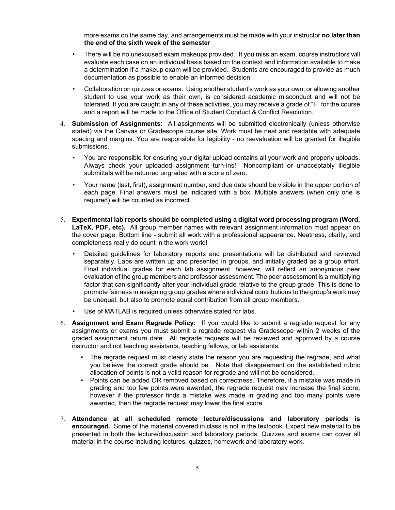more exams on the same day, and arrangements must be made with your instructor **no later than the end of the sixth week of the semester**

- There will be no unexcused exam makeups provided. If you miss an exam, course instructors will evaluate each case on an individual basis based on the context and information available to make a determination if a makeup exam will be provided. Students are encouraged to provide as much documentation as possible to enable an informed decision.
- Collaboration on quizzes or exams: Using another student's work as your own, or allowing another student to use your work as their own, is considered academic misconduct and will not be tolerated. If you are caught in any of these activities, you may receive a grade of "F" for the course and a report will be made to the Office of Student Conduct & Conflict Resolution.
- 4. **Submission of Assignments:** All assignments will be submitted electronically (unless otherwise stated) via the Canvas or Gradescope course site. Work must be neat and readable with adequate spacing and margins. You are responsible for legibility - no reevaluation will be granted for illegible submissions.
	- You are responsible for ensuring your digital upload contains all your work and properly uploads. Always check your uploaded assignment turn-ins! Noncompliant or unacceptably illegible submittals will be returned ungraded with a score of zero.
	- Your name (last, first), assignment number, and due date should be visible in the upper portion of each page. Final answers must be indicated with a box. Multiple answers (when only one is required) will be counted as incorrect.
- 5. **Experimental lab reports should be completed using a digital word processing program (Word, LaTeX, PDF, etc).** All group member names with relevant assignment information must appear on the cover page. Bottom line - submit all work with a professional appearance. Neatness, clarity, and completeness really do count in the work world!
	- Detailed guidelines for laboratory reports and presentations will be distributed and reviewed separately. Labs are written up and presented in groups, and initially graded as a group effort. Final individual grades for each lab assignment, however, will reflect an anonymous peer evaluation of the group members and professor assessment. The peer assessment is a multiplying factor that can significantly alter your individual grade relative to the group grade. This is done to promote fairness in assigning group grades where individual contributions to the group's work may be unequal, but also to promote equal contribution from all group members.
	- Use of MATLAB is required unless otherwise stated for labs.
- 6. **Assignment and Exam Regrade Policy:** If you would like to submit a regrade request for any assignments or exams you must submit a regrade request via Gradescope within 2 weeks of the graded assignment return date. All regrade requests will be reviewed and approved by a course instructor and not teaching assistants, teaching fellows, or lab assistants.
	- The regrade request must clearly state the reason you are requesting the regrade, and what you believe the correct grade should be. Note that disagreement on the established rubric allocation of points is not a valid reason for regrade and will not be considered.
	- Points can be added OR removed based on correctness. Therefore, if a mistake was made in grading and too few points were awarded, the regrade request may increase the final score, however if the professor finds a mistake was made in grading and too many points were awarded, then the regrade request may lower the final score.
- 7. **Attendance at all scheduled remote lecture/discussions and laboratory periods is encouraged.** Some of the material covered in class is not in the textbook. Expect new material to be presented in both the lecture/discussion and laboratory periods. Quizzes and exams can cover all material in the course including lectures, quizzes, homework and laboratory work.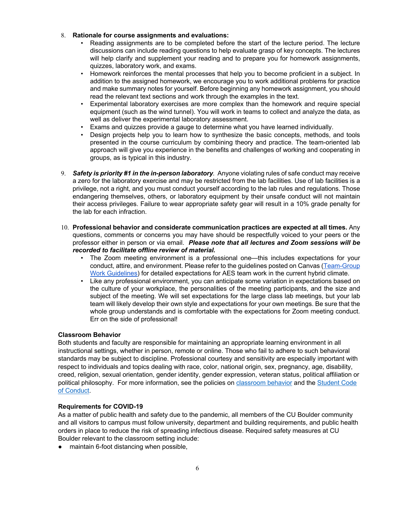## 8. **Rationale for course assignments and evaluations:**

- Reading assignments are to be completed before the start of the lecture period. The lecture discussions can include reading questions to help evaluate grasp of key concepts. The lectures will help clarify and supplement your reading and to prepare you for homework assignments, quizzes, laboratory work, and exams.
- Homework reinforces the mental processes that help you to become proficient in a subject. In addition to the assigned homework, we encourage you to work additional problems for practice and make summary notes for yourself. Before beginning any homework assignment, you should read the relevant text sections and work through the examples in the text.
- Experimental laboratory exercises are more complex than the homework and require special equipment (such as the wind tunnel). You will work in teams to collect and analyze the data, as well as deliver the experimental laboratory assessment.
- Exams and quizzes provide a gauge to determine what you have learned individually.
- Design projects help you to learn how to synthesize the basic concepts, methods, and tools presented in the course curriculum by combining theory and practice. The team-oriented lab approach will give you experience in the benefits and challenges of working and cooperating in groups, as is typical in this industry.
- 9. *Safety is priority #1 in the in-person laboratory.* Anyone violating rules of safe conduct may receive a zero for the laboratory exercise and may be restricted from the lab facilities. Use of lab facilities is a privilege, not a right, and you must conduct yourself according to the lab rules and regulations. Those endangering themselves, others, or laboratory equipment by their unsafe conduct will not maintain their access privileges. Failure to wear appropriate safety gear will result in a 10% grade penalty for the lab for each infraction.
- 10. **Professional behavior and considerate communication practices are expected at all times.** Any questions, comments or concerns you may have should be respectfully voiced to your peers or the professor either in person or via email. *Please note that all lectures and Zoom sessions will be recorded to facilitate offline review of material.*
	- The Zoom meeting environment is a professional one—this includes expectations for your conduct, attire, and environment. Please refer to the guidelines posted on Canvas (Team-Group Work Guidelines) for detailed expectations for AES team work in the current hybrid climate.
	- Like any professional environment, you can anticipate some variation in expectations based on the culture of your workplace, the personalities of the meeting participants, and the size and subject of the meeting. We will set expectations for the large class lab meetings, but your lab team will likely develop their own style and expectations for your own meetings. Be sure that the whole group understands and is comfortable with the expectations for Zoom meeting conduct. Err on the side of professional!

#### **Classroom Behavior**

Both students and faculty are responsible for maintaining an appropriate learning environment in all instructional settings, whether in person, remote or online. Those who fail to adhere to such behavioral standards may be subject to discipline. Professional courtesy and sensitivity are especially important with respect to individuals and topics dealing with race, color, national origin, sex, pregnancy, age, disability, creed, religion, sexual orientation, gender identity, gender expression, veteran status, political affiliation or political philosophy. For more information, see the policies on classroom behavior and the Student Code of Conduct.

#### **Requirements for COVID-19**

As a matter of public health and safety due to the pandemic, all members of the CU Boulder community and all visitors to campus must follow university, department and building requirements, and public health orders in place to reduce the risk of spreading infectious disease. Required safety measures at CU Boulder relevant to the classroom setting include:

maintain 6-foot distancing when possible,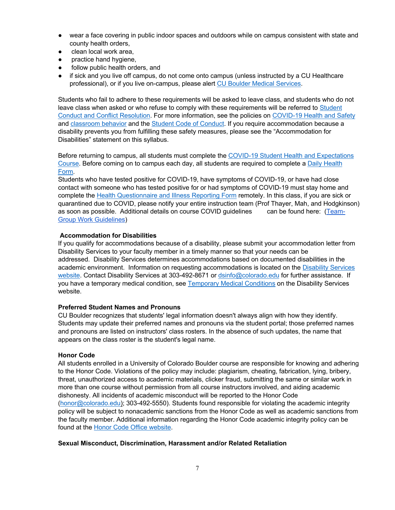- wear a face covering in public indoor spaces and outdoors while on campus consistent with state and county health orders,
- clean local work area,
- practice hand hygiene,
- follow public health orders, and
- if sick and you live off campus, do not come onto campus (unless instructed by a CU Healthcare professional), or if you live on-campus, please alert CU Boulder Medical Services.

Students who fail to adhere to these requirements will be asked to leave class, and students who do not leave class when asked or who refuse to comply with these requirements will be referred to Student Conduct and Conflict Resolution. For more information, see the policies on COVID-19 Health and Safety and classroom behavior and the Student Code of Conduct. If you require accommodation because a disability prevents you from fulfilling these safety measures, please see the "Accommodation for Disabilities" statement on this syllabus.

Before returning to campus, all students must complete the COVID-19 Student Health and Expectations Course. Before coming on to campus each day, all students are required to complete a Daily Health Form.

Students who have tested positive for COVID-19, have symptoms of COVID-19, or have had close contact with someone who has tested positive for or had symptoms of COVID-19 must stay home and complete the Health Questionnaire and Illness Reporting Form remotely. In this class, if you are sick or quarantined due to COVID, please notify your entire instruction team (Prof Thayer, Mah, and Hodgkinson) as soon as possible. Additional details on course COVID guidelines can be found here: (Team-Group Work Guidelines)

#### **Accommodation for Disabilities**

If you qualify for accommodations because of a disability, please submit your accommodation letter from Disability Services to your faculty member in a timely manner so that your needs can be addressed. Disability Services determines accommodations based on documented disabilities in the academic environment. Information on requesting accommodations is located on the Disability Services website. Contact Disability Services at 303-492-8671 or dsinfo@colorado.edu for further assistance. If you have a temporary medical condition, see Temporary Medical Conditions on the Disability Services website.

#### **Preferred Student Names and Pronouns**

CU Boulder recognizes that students' legal information doesn't always align with how they identify. Students may update their preferred names and pronouns via the student portal; those preferred names and pronouns are listed on instructors' class rosters. In the absence of such updates, the name that appears on the class roster is the student's legal name.

#### **Honor Code**

All students enrolled in a University of Colorado Boulder course are responsible for knowing and adhering to the Honor Code. Violations of the policy may include: plagiarism, cheating, fabrication, lying, bribery, threat, unauthorized access to academic materials, clicker fraud, submitting the same or similar work in more than one course without permission from all course instructors involved, and aiding academic dishonesty. All incidents of academic misconduct will be reported to the Honor Code (honor@colorado.edu); 303-492-5550). Students found responsible for violating the academic integrity policy will be subject to nonacademic sanctions from the Honor Code as well as academic sanctions from the faculty member. Additional information regarding the Honor Code academic integrity policy can be found at the Honor Code Office website.

#### **Sexual Misconduct, Discrimination, Harassment and/or Related Retaliation**